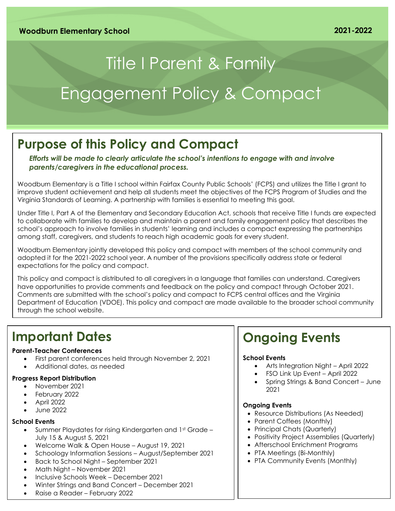# Title I Parent & Family Engagement Policy & Compact

# **Purpose of this Policy and Compact**

*Efforts will be made to clearly articulate the school's intentions to engage with and involve parents/caregivers in the educational process.*

Woodburn Elementary is a Title I school within Fairfax County Public Schools' (FCPS) and utilizes the Title I grant to improve student achievement and help all students meet the objectives of the FCPS Program of Studies and the Virginia Standards of Learning. A partnership with families is essential to meeting this goal.

Under Title I, Part A of the Elementary and Secondary Education Act, schools that receive Title I funds are expected to collaborate with families to develop and maintain a parent and family engagement policy that describes the school's approach to involve families in students' learning and includes a compact expressing the partnerships among staff, caregivers, and students to reach high academic goals for every student.

Woodburn Elementary jointly developed this policy and compact with members of the school community and adopted it for the 2021-2022 school year. A number of the provisions specifically address state or federal expectations for the policy and compact.

This policy and compact is distributed to all caregivers in a language that families can understand. Caregivers have opportunities to provide comments and feedback on the policy and compact through October 2021. Comments are submitted with the school's policy and compact to FCPS central offices and the Virginia Department of Education (VDOE). This policy and compact are made available to the broader school community through the school website.

# **Important Dates**

### **Parent-Teacher Conferences**

- First parent conferences held through November 2, 2021
- Additional dates, as needed

### **Progress Report Distribution**

- November 2021
- February 2022
- April 2022
- June 2022

### **School Events**

- Summer Playdates for rising Kindergarten and 1st Grade -July 15 & August 5, 2021
- Welcome Walk & Open House August 19, 2021
- Schoology Information Sessions August/September 2021
- Back to School Night September 2021
- Math Night November 2021
- Inclusive Schools Week December 2021
- Winter Strings and Band Concert December 2021
- Raise a Reader February 2022 • Multicultural Week – March 2022

# **Ongoing Events**

### **School Events**

- Arts Integration Night April 2022
- FSO Link Up Event April 2022
- Spring Strings & Band Concert June 2021

### **Ongoing Events**

- Resource Distributions (As Needed)
- Parent Coffees (Monthly)
- Principal Chats (Quarterly)
- Positivity Project Assemblies (Quarterly)
- Afterschool Enrichment Programs
- PTA Meetings (Bi-Monthly)
- PTA Community Events (Monthly)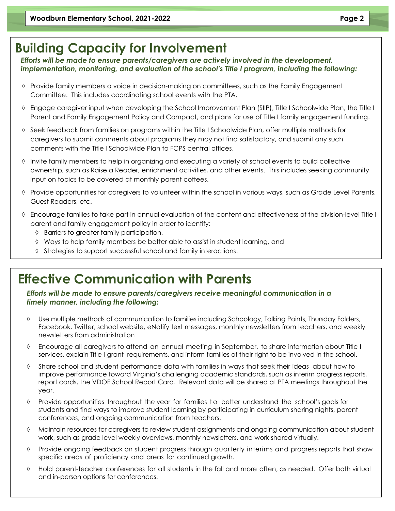# **Building Capacity for Involvement**

*Efforts will be made to ensure parents/caregivers are actively involved in the development, implementation, monitoring, and evaluation of the school's Title I program, including the following:*

- $\Diamond$  Provide family members a voice in decision-making on committees, such as the Family Engagement Committee. This includes coordinating school events with the PTA.
- Engage caregiver input when developing the School Improvement Plan (SIIP), Title I Schoolwide Plan, the Title I Parent and Family Engagement Policy and Compact, and plans for use of Title I family engagement funding.
- $\Diamond$  Seek feedback from families on programs within the Title I Schoolwide Plan, offer multiple methods for caregivers to submit comments about programs they may not find satisfactory, and submit any such comments with the Title I Schoolwide Plan to FCPS central offices.
- Invite family members to help in organizing and executing a variety of school events to build collective ownership, such as Raise a Reader, enrichment activities, and other events. This includes seeking community input on topics to be covered at monthly parent coffees.
- $\Diamond$  Provide opportunities for caregivers to volunteer within the school in various ways, such as Grade Level Parents, Guest Readers, etc.
- Encourage families to take part in annual evaluation of the content and effectiveness of the division-level Title I parent and family engagement policy in order to identify:
	- Barriers to greater family participation,
	- Ways to help family members be better able to assist in student learning, and
	- $\Diamond$  Strategies to support successful school and family interactions.

### **Effective Communication with Parents**

*Efforts will be made to ensure parents/caregivers receive meaningful communication in a timely manner, including the following:*

- Use multiple methods of communication to families including Schoology, Talking Points, Thursday Folders, Facebook, Twitter, school website, eNotify text messages, monthly newsletters from teachers, and weekly newsletters from administration
- Encourage all caregivers to attend an annual meeting in September, to share information about Title I services, explain Title I grant requirements, and inform families of their right to be involved in the school.
- $\Diamond$  Share school and student performance data with families in ways that seek their ideas about how to improve performance toward Virginia's challenging academic standards, such as interim progress reports, report cards, the VDOE School Report Card. Relevant data will be shared at PTA meetings throughout the year.
- $\Diamond$  Provide opportunities throughout the year for families to better understand the school's goals for students and find ways to improve student learning by participating in curriculum sharing nights, parent conferences, and ongoing communication from teachers.
- Maintain resources for caregivers to review student assignments and ongoing communication about student work, such as grade level weekly overviews, monthly newsletters, and work shared virtually.
- Provide ongoing feedback on student progress through quarterly interims and progress reports that show specific areas of proficiency and areas for continued growth.
- Hold parent-teacher conferences for all students in the fall and more often, as needed. Offer both virtual and in-person options for conferences.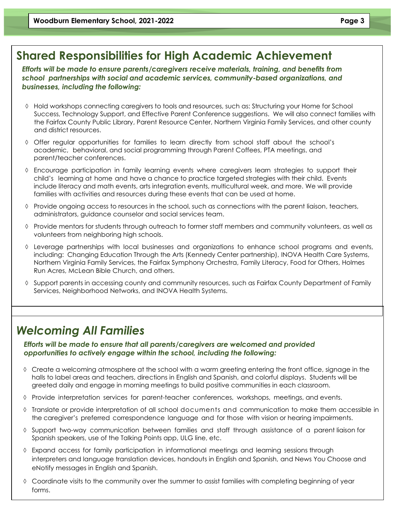### **Shared Responsibilities for High Academic Achievement**

*Efforts will be made to ensure parents/caregivers receive materials, training, and benefits from school partnerships with social and academic services, community-based organizations, and businesses, including the following:*

- $\Diamond$  Hold workshops connecting caregivers to tools and resources, such as: Structuring your Home for School Success, Technology Support, and Effective Parent Conference suggestions. We will also connect families with the Fairfax County Public Library, Parent Resource Center, Northern Virginia Family Services, and other county and district resources.
- Offer regular opportunities for families to learn directly from school staff about the school's academic, behavioral, and social programming through Parent Coffees, PTA meetings, and parent/teacher conferences.
- Encourage participation in family learning events where caregivers learn strategies to support their child's learning at home and have a chance to practice targeted strategies with their child. Events include literacy and math events, arts integration events, multicultural week, and more. We will provide families with activities and resources during these events that can be used at home.
- $\Diamond$  Provide ongoing access to resources in the school, such as connections with the parent liaison, teachers, administrators, guidance counselor and social services team.
- Provide mentors for students through outreach to former staff members and community volunteers, as well as volunteers from neighboring high schools.
- Leverage partnerships with local businesses and organizations to enhance school programs and events, including: Changing Education Through the Arts (Kennedy Center partnership), INOVA Health Care Systems, Northern Virginia Family Services, the Fairfax Symphony Orchestra, Family Literacy, Food for Others, Holmes Run Acres, McLean Bible Church, and others.
- Support parents in accessing county and community resources, such as Fairfax County Department of Family Services, Neighborhood Networks, and INOVA Health Systems.

### *Welcoming All Families*

*Efforts will be made to ensure that all parents/caregivers are welcomed and provided opportunities to actively engage within the school, including the following:*

- $\Diamond$  Create a welcoming atmosphere at the school with a warm greeting entering the front office, signage in the halls to label areas and teachers, directions in English and Spanish, and colorful displays. Students will be greeted daily and engage in morning meetings to build positive communities in each classroom.
- $\Diamond$  Provide interpretation services for parent-teacher conferences, workshops, meetings, and events.
- Translate or provide interpretation of all school documents and communication to make them accessible in the caregiver's preferred correspondence language and for those with vision or hearing impairments.
- $\Diamond$  Support two-way communication between families and staff through assistance of a parent liaison for Spanish speakers, use of the Talking Points app, ULG line, etc.
- Expand access for family participation in informational meetings and learning sessions through interpreters and language translation devices, handouts in English and Spanish, and News You Choose and eNotify messages in English and Spanish.
- Coordinate visits to the community over the summer to assist families with completing beginning of year forms.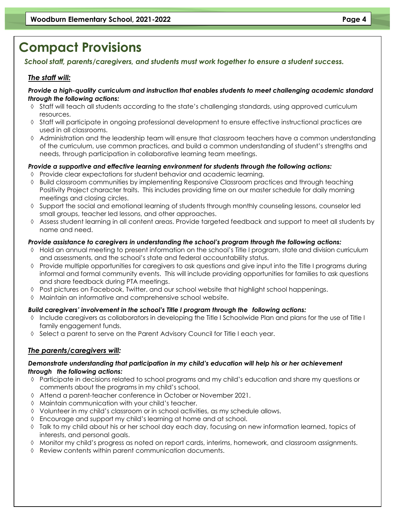# **Compact Provisions**

### *School staff, parents/caregivers, and students must work together to ensure a student success.*

### *The staff will:*

### *Provide a high-quality curriculum and instruction that enables students to meet challenging academic standard through the following actions:*

- $\Diamond$  Staff will teach all students according to the state's challenging standards, using approved curriculum resources.
- $\Diamond$  Staff will participate in ongoing professional development to ensure effective instructional practices are used in all classrooms.
- $\Diamond$  Administration and the leadership team will ensure that classroom teachers have a common understanding of the curriculum, use common practices, and build a common understanding of student's strengths and needs, through participation in collaborative learning team meetings.

### *Provide a supportive and effective learning environment for students through the following actions:*

- $\Diamond$  Provide clear expectations for student behavior and academic learning.
- $\Diamond$  Build classroom communities by implementing Responsive Classroom practices and through teaching Positivity Project character traits. This includes providing time on our master schedule for daily morning meetings and closing circles.
- $\Diamond$  Support the social and emotional learning of students through monthly counseling lessons, counselor led small groups, teacher led lessons, and other approaches.
- Assess student learning in all content areas. Provide targeted feedback and support to meet all students by name and need.

### *Provide assistance to caregivers in understanding the school's program through the following actions:*

- Hold an annual meeting to present information on the school's Title I program, state and division curriculum and assessments, and the school's state and federal accountability status.
- Provide multiple opportunities for caregivers to ask questions and give input into the Title I programs during informal and formal community events. This will include providing opportunities for families to ask questions and share feedback during PTA meetings.
- $\Diamond$  Post pictures on Facebook, Twitter, and our school website that highlight school happenings.
- Maintain an informative and comprehensive school website.

### *Build caregivers' involvement in the school's Title I program through the following actions:*

- Include caregivers as collaborators in developing the Title I Schoolwide Plan and plans for the use of Title I family engagement funds.
- $\Diamond$  Select a parent to serve on the Parent Advisory Council for Title I each year.

### *The parents/caregivers will:*

### *Demonstrate understanding that participation in my child's education will help his or her achievement through the following actions:*

- Participate in decisions related to school programs and my child's education and share my questions or comments about the programs in my child's school.
- Attend a parent-teacher conference in October or November 2021.
- Maintain communication with your child's teacher.
- Volunteer in my child's classroom or in school activities, as my schedule allows.
- Encourage and support my child's learning at home and at school.
- $\Diamond$  Talk to my child about his or her school day each day, focusing on new information learned, topics of interests, and personal goals.
- Monitor my child's progress as noted on report cards, interims, homework, and classroom assignments.
- Review contents within parent communication documents.